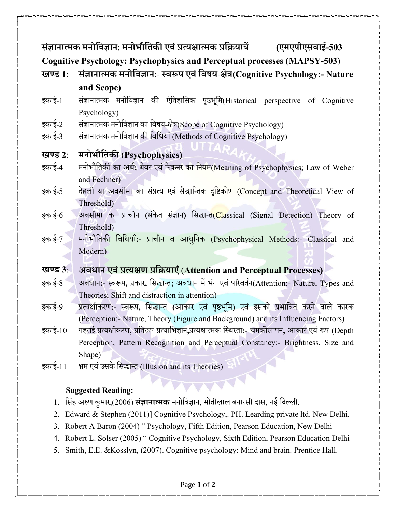|                                                                                             | संज्ञानात्मक मनोविज्ञान: मनोभौतिकी एवं प्रत्यक्षात्मक प्रक्रियायें             (एमएपीएसवाई-503      |
|---------------------------------------------------------------------------------------------|-----------------------------------------------------------------------------------------------------|
| <b>Cognitive Psychology: Psychophysics and Perceptual processes (MAPSY-503)</b>             |                                                                                                     |
| खण्ड $1$ :                                                                                  | संज्ञानात्मक मनोविज्ञान:- स्वरूप एवं विषय-क्षेत्र(Cognitive Psychology:- Nature                     |
|                                                                                             | and Scope)                                                                                          |
| इकाई-1                                                                                      | संज्ञानात्मक मनोविज्ञान की ऐतिहासिक पृष्ठभूमि(Historical perspective of Cognitive                   |
|                                                                                             | Psychology)                                                                                         |
| इकाई-2                                                                                      | संज्ञानात्मक मनोविज्ञान का विषय-क्षेत्र(Scope of Cognitive Psychology)                              |
| इकाई-3                                                                                      | संज्ञानात्मक मनोविज्ञान की विधियाँ (Methods of Cognitive Psychology)                                |
| खण्ड $2$ :                                                                                  | मनोभौतिकी (Psychophysics)                                                                           |
| इकाई-4                                                                                      | मनोभौतिकी का अर्थ; बेवर एवं फेकनर का नियम(Meaning of Psychophysics; Law of Weber                    |
|                                                                                             | and Fechner)                                                                                        |
| इकाई-5                                                                                      | देहली या अवसीमा का संप्रत्य एवं सैद्धान्तिक दृष्टिकोण (Concept and Theoretical View of              |
|                                                                                             | Threshold)                                                                                          |
| इकाई-6                                                                                      | अवसीमा का प्राचीन (संकेत संज्ञान) सिद्धान्त(Classical (Signal Detection) Theory of                  |
|                                                                                             | Threshold)                                                                                          |
| इकाई-7                                                                                      | मनोभौतिकी विधियाँ:- प्राचीन व आधुनिक (Psychophysical Methods:- Classical and                        |
|                                                                                             | Modern)                                                                                             |
| खण्ड 3:                                                                                     | अवधान एवं प्रत्यक्षण प्रक्रियाएँ (Attention and Perceptual Processes)                               |
| इकाई-8                                                                                      | अवधान:- स्वरूप, प्रकार, सिद्धान्त; अवधान में भंग एवं परिवर्तन(Attention:- Nature, Types and         |
|                                                                                             | Theories; Shift and distraction in attention)                                                       |
| इकाई-9                                                                                      | प्रत्यक्षीकरण:- स्वरूप, सिद्धान्त (आकार एवं पृष्ठभूमि) एवं इसको प्रभावित करने वाले कारक             |
|                                                                                             | (Perception: Nature, Theory (Figure and Background) and its Influencing Factors)                    |
| इकाई- $10$                                                                                  | गहराई प्रत्यक्षीकरण, प्रतिरूप प्रत्याभिज्ञान,प्रत्यक्षात्मक स्थिरता:- चमकीलापन, आकार एवं रूप (Depth |
|                                                                                             | Perception, Pattern Recognition and Perceptual Constancy:- Brightness, Size and                     |
|                                                                                             | Shape)                                                                                              |
| इकाई-11                                                                                     | भ्रम एवं उसके सिद्धान्त (Illusion and its Theories)                                                 |
|                                                                                             |                                                                                                     |
| <b>Suggested Reading:</b>                                                                   |                                                                                                     |
| सिंह अरुण कुमार,(2006) <b>संज्ञानात्मक</b> मनोविज्ञान, मोतीलाल बनारसी दास, नई दिल्ली,<br>1. |                                                                                                     |
| Edward & Stephen (2011)] Cognitive Psychology,. PH. Learding private ltd. New Delhi.<br>2.  |                                                                                                     |

- 3. Robert A Baron (2004) " Psychology, Fifth Edition, Pearson Education, New Delhi
- 4. Robert L. Solser (2005) " Cognitive Psychology, Sixth Edition, Pearson Education Delhi
- 5. Smith, E.E. &Kosslyn, (2007). Cognitive psychology: Mind and brain. Prentice Hall.